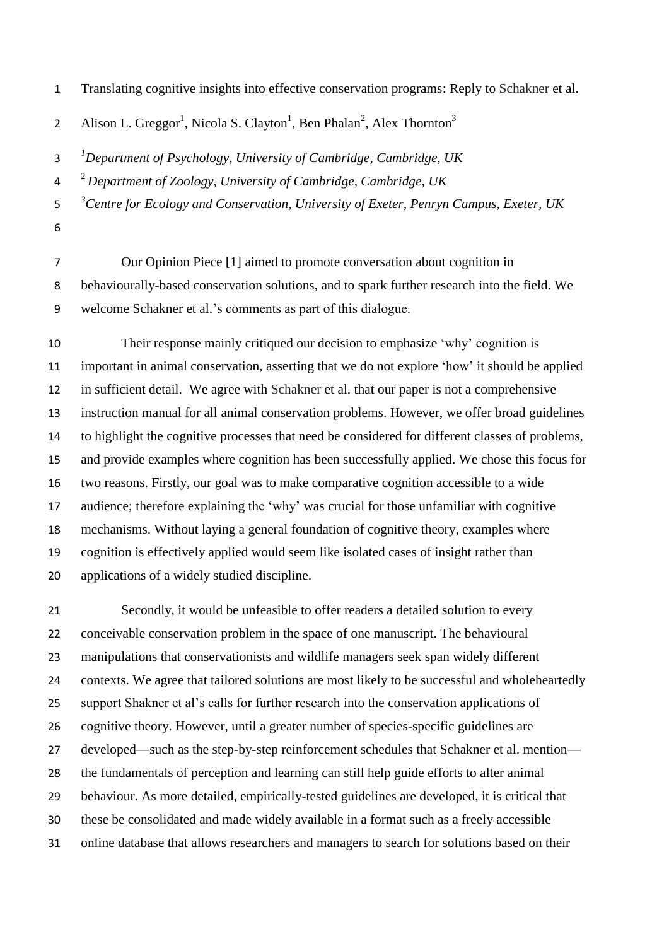Translating cognitive insights into effective conservation programs: Reply to Schakner et al.

Alison L. Greggor<sup>1</sup>, Nicola S. Clayton<sup>1</sup>, Ben Phalan<sup>2</sup>, Alex Thornton<sup>3</sup> 

*1 Department of Psychology, University of Cambridge, Cambridge, UK*

<sup>2</sup> *Department of Zoology, University of Cambridge, Cambridge, UK*

*3 Centre for Ecology and Conservation, University of Exeter, Penryn Campus, Exeter, UK* 

- 
- Our Opinion Piece [1] aimed to promote conversation about cognition in

 behaviourally-based conservation solutions, and to spark further research into the field. We welcome Schakner et al.'s comments as part of this dialogue.

 Their response mainly critiqued our decision to emphasize 'why' cognition is important in animal conservation, asserting that we do not explore 'how' it should be applied in sufficient detail. We agree with Schakner et al. that our paper is not a comprehensive instruction manual for all animal conservation problems. However, we offer broad guidelines to highlight the cognitive processes that need be considered for different classes of problems, and provide examples where cognition has been successfully applied. We chose this focus for two reasons. Firstly, our goal was to make comparative cognition accessible to a wide audience; therefore explaining the 'why' was crucial for those unfamiliar with cognitive mechanisms. Without laying a general foundation of cognitive theory, examples where cognition is effectively applied would seem like isolated cases of insight rather than applications of a widely studied discipline.

 Secondly, it would be unfeasible to offer readers a detailed solution to every conceivable conservation problem in the space of one manuscript. The behavioural manipulations that conservationists and wildlife managers seek span widely different contexts. We agree that tailored solutions are most likely to be successful and wholeheartedly support Shakner et al's calls for further research into the conservation applications of cognitive theory. However, until a greater number of species-specific guidelines are developed—such as the step-by-step reinforcement schedules that Schakner et al. mention— the fundamentals of perception and learning can still help guide efforts to alter animal behaviour. As more detailed, empirically-tested guidelines are developed, it is critical that these be consolidated and made widely available in a format such as a freely accessible online database that allows researchers and managers to search for solutions based on their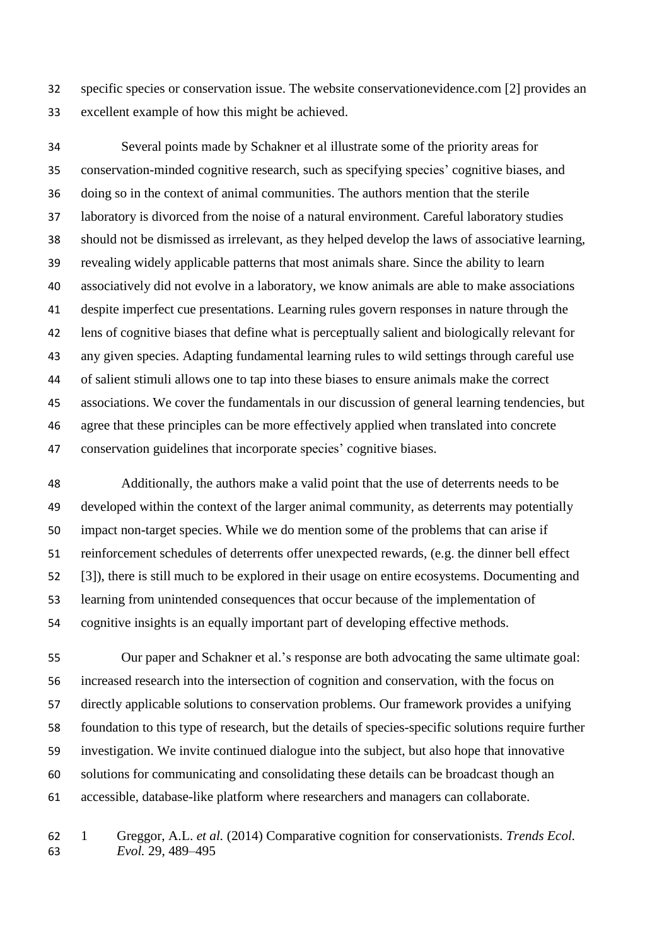specific species or conservation issue. The website conservationevidence.com [2] provides an excellent example of how this might be achieved.

 Several points made by Schakner et al illustrate some of the priority areas for conservation-minded cognitive research, such as specifying species' cognitive biases, and doing so in the context of animal communities. The authors mention that the sterile laboratory is divorced from the noise of a natural environment. Careful laboratory studies should not be dismissed as irrelevant, as they helped develop the laws of associative learning, revealing widely applicable patterns that most animals share. Since the ability to learn associatively did not evolve in a laboratory, we know animals are able to make associations despite imperfect cue presentations. Learning rules govern responses in nature through the lens of cognitive biases that define what is perceptually salient and biologically relevant for any given species. Adapting fundamental learning rules to wild settings through careful use of salient stimuli allows one to tap into these biases to ensure animals make the correct associations. We cover the fundamentals in our discussion of general learning tendencies, but agree that these principles can be more effectively applied when translated into concrete conservation guidelines that incorporate species' cognitive biases.

 Additionally, the authors make a valid point that the use of deterrents needs to be developed within the context of the larger animal community, as deterrents may potentially impact non-target species. While we do mention some of the problems that can arise if reinforcement schedules of deterrents offer unexpected rewards, (e.g. the dinner bell effect [3]), there is still much to be explored in their usage on entire ecosystems. Documenting and learning from unintended consequences that occur because of the implementation of cognitive insights is an equally important part of developing effective methods.

 Our paper and Schakner et al.'s response are both advocating the same ultimate goal: increased research into the intersection of cognition and conservation, with the focus on directly applicable solutions to conservation problems. Our framework provides a unifying foundation to this type of research, but the details of species-specific solutions require further investigation. We invite continued dialogue into the subject, but also hope that innovative solutions for communicating and consolidating these details can be broadcast though an accessible, database-like platform where researchers and managers can collaborate.

 1 Greggor, A.L. *et al.* (2014) Comparative cognition for conservationists. *Trends Ecol. Evol.* 29, 489–495